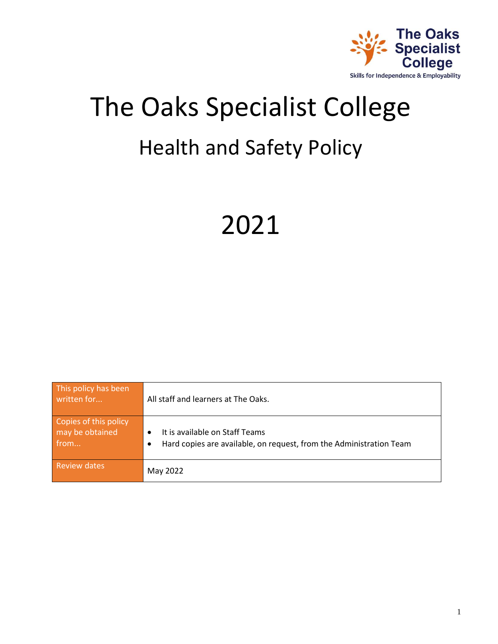

# The Oaks Specialist College Health and Safety Policy

# 2021

| This policy has been<br>written for              | All staff and learners at The Oaks.                                                                                |
|--------------------------------------------------|--------------------------------------------------------------------------------------------------------------------|
| Copies of this policy<br>may be obtained<br>from | It is available on Staff Teams<br>Hard copies are available, on request, from the Administration Team<br>$\bullet$ |
| <b>Review dates</b>                              | May 2022                                                                                                           |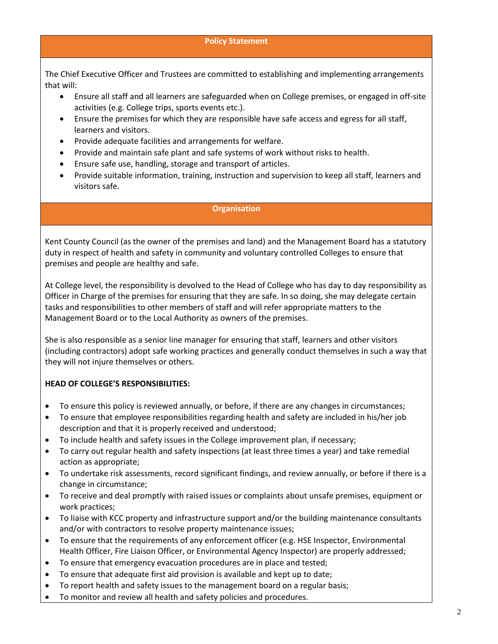#### **Policy Statement**

The Chief Executive Officer and Trustees are committed to establishing and implementing arrangements that will:

- Ensure all staff and all learners are safeguarded when on College premises, or engaged in off-site activities (e.g. College trips, sports events etc.).
- Ensure the premises for which they are responsible have safe access and egress for all staff, learners and visitors.
- Provide adequate facilities and arrangements for welfare.
- Provide and maintain safe plant and safe systems of work without risks to health.
- Ensure safe use, handling, storage and transport of articles.
- Provide suitable information, training, instruction and supervision to keep all staff, learners and visitors safe.

#### **Organisation**

Kent County Council (as the owner of the premises and land) and the Management Board has a statutory duty in respect of health and safety in community and voluntary controlled Colleges to ensure that premises and people are healthy and safe.

At College level, the responsibility is devolved to the Head of College who has day to day responsibility as Officer in Charge of the premises for ensuring that they are safe. In so doing, she may delegate certain tasks and responsibilities to other members of staff and will refer appropriate matters to the Management Board or to the Local Authority as owners of the premises.

She is also responsible as a senior line manager for ensuring that staff, learners and other visitors (including contractors) adopt safe working practices and generally conduct themselves in such a way that they will not injure themselves or others.

#### **HEAD OF COLLEGE'S RESPONSIBILITIES:**

- To ensure this policy is reviewed annually, or before, if there are any changes in circumstances;
- To ensure that employee responsibilities regarding health and safety are included in his/her job description and that it is properly received and understood;
- To include health and safety issues in the College improvement plan, if necessary;
- To carry out regular health and safety inspections (at least three times a year) and take remedial action as appropriate;
- To undertake risk assessments, record significant findings, and review annually, or before if there is a change in circumstance;
- To receive and deal promptly with raised issues or complaints about unsafe premises, equipment or work practices;
- To liaise with KCC property and infrastructure support and/or the building maintenance consultants and/or with contractors to resolve property maintenance issues;
- To ensure that the requirements of any enforcement officer (e.g. HSE Inspector, Environmental Health Officer, Fire Liaison Officer, or Environmental Agency Inspector) are properly addressed;
- To ensure that emergency evacuation procedures are in place and tested;
- To ensure that adequate first aid provision is available and kept up to date;
- To report health and safety issues to the management board on a regular basis;
- To monitor and review all health and safety policies and procedures.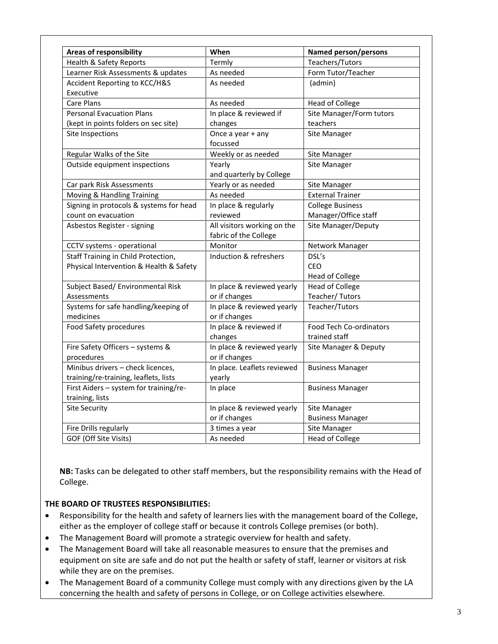| <b>Areas of responsibility</b>          | When                        | <b>Named person/persons</b>    |
|-----------------------------------------|-----------------------------|--------------------------------|
| Health & Safety Reports                 | Termly                      | Teachers/Tutors                |
| Learner Risk Assessments & updates      | As needed                   | Form Tutor/Teacher             |
| Accident Reporting to KCC/H&S           | As needed                   | (admin)                        |
| Executive                               |                             |                                |
| <b>Care Plans</b>                       | As needed                   | <b>Head of College</b>         |
| <b>Personal Evacuation Plans</b>        | In place & reviewed if      | Site Manager/Form tutors       |
| (kept in points folders on sec site)    | changes                     | teachers                       |
| Site Inspections                        | Once a year + any           | Site Manager                   |
|                                         | focussed                    |                                |
| Regular Walks of the Site               | Weekly or as needed         | Site Manager                   |
| Outside equipment inspections           | Yearly                      | Site Manager                   |
|                                         | and quarterly by College    |                                |
| Car park Risk Assessments               | Yearly or as needed         | Site Manager                   |
| Moving & Handling Training              | As needed                   | <b>External Trainer</b>        |
| Signing in protocols & systems for head | In place & regularly        | <b>College Business</b>        |
| count on evacuation                     | reviewed                    | Manager/Office staff           |
| Asbestos Register - signing             | All visitors working on the | Site Manager/Deputy            |
|                                         | fabric of the College       |                                |
| CCTV systems - operational              | Monitor                     | Network Manager                |
| Staff Training in Child Protection,     | Induction & refreshers      | DSL's                          |
| Physical Intervention & Health & Safety |                             | CEO                            |
|                                         |                             | <b>Head of College</b>         |
| Subject Based/ Environmental Risk       | In place & reviewed yearly  | <b>Head of College</b>         |
| Assessments                             | or if changes               | Teacher/Tutors                 |
| Systems for safe handling/keeping of    | In place & reviewed yearly  | Teacher/Tutors                 |
| medicines                               | or if changes               |                                |
| Food Safety procedures                  | In place & reviewed if      | <b>Food Tech Co-ordinators</b> |
|                                         | changes                     | trained staff                  |
| Fire Safety Officers - systems &        | In place & reviewed yearly  | Site Manager & Deputy          |
| procedures                              | or if changes               |                                |
| Minibus drivers - check licences,       | In place. Leaflets reviewed | <b>Business Manager</b>        |
| training/re-training, leaflets, lists   | yearly                      |                                |
| First Aiders - system for training/re-  | In place                    | <b>Business Manager</b>        |
| training, lists                         |                             |                                |
| <b>Site Security</b>                    | In place & reviewed yearly  | Site Manager                   |
|                                         | or if changes               | <b>Business Manager</b>        |
| Fire Drills regularly                   | 3 times a year              | Site Manager                   |
| GOF (Off Site Visits)                   | As needed                   | <b>Head of College</b>         |

**NB:** Tasks can be delegated to other staff members, but the responsibility remains with the Head of College.

#### **THE BOARD OF TRUSTEES RESPONSIBILITIES:**

- Responsibility for the health and safety of learners lies with the management board of the College, either as the employer of college staff or because it controls College premises (or both).
- The Management Board will promote a strategic overview for health and safety.
- The Management Board will take all reasonable measures to ensure that the premises and equipment on site are safe and do not put the health or safety of staff, learner or visitors at risk while they are on the premises.
- The Management Board of a community College must comply with any directions given by the LA concerning the health and safety of persons in College, or on College activities elsewhere.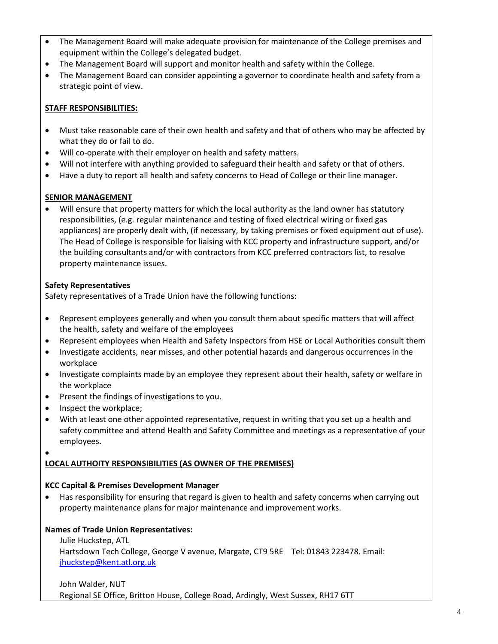- The Management Board will make adequate provision for maintenance of the College premises and equipment within the College's delegated budget.
- The Management Board will support and monitor health and safety within the College.
- The Management Board can consider appointing a governor to coordinate health and safety from a strategic point of view.

## **STAFF RESPONSIBILITIES:**

- Must take reasonable care of their own health and safety and that of others who may be affected by what they do or fail to do.
- Will co-operate with their employer on health and safety matters.
- Will not interfere with anything provided to safeguard their health and safety or that of others.
- Have a duty to report all health and safety concerns to Head of College or their line manager.

## **SENIOR MANAGEMENT**

• Will ensure that property matters for which the local authority as the land owner has statutory responsibilities, (e.g. regular maintenance and testing of fixed electrical wiring or fixed gas appliances) are properly dealt with, (if necessary, by taking premises or fixed equipment out of use). The Head of College is responsible for liaising with KCC property and infrastructure support, and/or the building consultants and/or with contractors from KCC preferred contractors list, to resolve property maintenance issues.

## **Safety Representatives**

Safety representatives of a Trade Union have the following functions:

- Represent employees generally and when you consult them about specific matters that will affect the health, safety and welfare of the employees
- Represent employees when Health and Safety Inspectors from HSE or Local Authorities consult them
- Investigate accidents, near misses, and other potential hazards and dangerous occurrences in the workplace
- Investigate complaints made by an employee they represent about their health, safety or welfare in the workplace
- Present the findings of investigations to you.
- Inspect the workplace;
- With at least one other appointed representative, request in writing that you set up a health and safety committee and attend Health and Safety Committee and meetings as a representative of your employees.
- •

# **LOCAL AUTHOITY RESPONSIBILITIES (AS OWNER OF THE PREMISES)**

# **KCC Capital & Premises Development Manager**

• Has responsibility for ensuring that regard is given to health and safety concerns when carrying out property maintenance plans for major maintenance and improvement works.

# **Names of Trade Union Representatives:**

Julie Huckstep, ATL Hartsdown Tech College, George V avenue, Margate, CT9 5RE Tel: 01843 223478. Email: [jhuckstep@kent.atl.org.uk](mailto:jhuckstep@kent.atl.org.uk)

## John Walder, NUT Regional SE Office, Britton House, College Road, Ardingly, West Sussex, RH17 6TT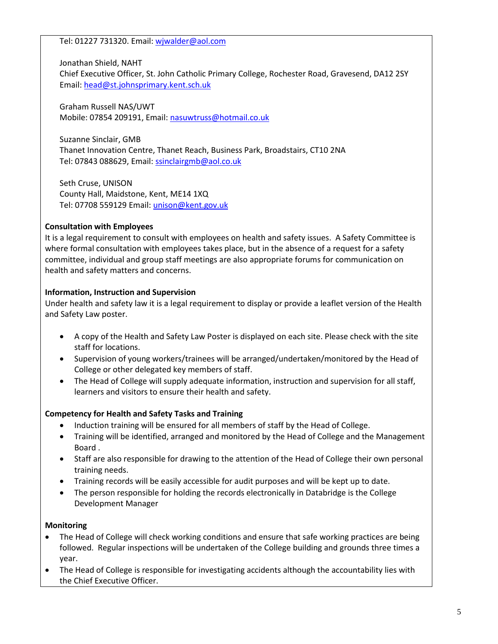Tel: 01227 731320. Email: [wjwalder@aol.com](mailto:wjwalder@aol.com)

Jonathan Shield, NAHT Chief Executive Officer, St. John Catholic Primary College, Rochester Road, Gravesend, DA12 2SY Email: [head@st.johnsprimary.kent.sch.uk](mailto:head@st.johnsprimary.kent.sch.uk)

Graham Russell NAS/UWT Mobile: 07854 209191, Email: [nasuwtruss@hotmail.co.uk](mailto:nasuwtruss@hotmail.co.uk)

Suzanne Sinclair, GMB Thanet Innovation Centre, Thanet Reach, Business Park, Broadstairs, CT10 2NA Tel: 07843 088629, Email: [ssinclairgmb@aol.co.uk](mailto:ssinclairgmb@aol.co.uk)

Seth Cruse, UNISON County Hall, Maidstone, Kent, ME14 1XQ Tel: 07708 559129 Email: [unison@kent.gov.uk](mailto:unison@kent.gov.uk)

## **Consultation with Employees**

It is a legal requirement to consult with employees on health and safety issues. A Safety Committee is where formal consultation with employees takes place, but in the absence of a request for a safety committee, individual and group staff meetings are also appropriate forums for communication on health and safety matters and concerns.

## **Information, Instruction and Supervision**

Under health and safety law it is a legal requirement to display or provide a leaflet version of the Health and Safety Law poster.

- A copy of the Health and Safety Law Poster is displayed on each site. Please check with the site staff for locations.
- Supervision of young workers/trainees will be arranged/undertaken/monitored by the Head of College or other delegated key members of staff.
- The Head of College will supply adequate information, instruction and supervision for all staff, learners and visitors to ensure their health and safety.

# **Competency for Health and Safety Tasks and Training**

- Induction training will be ensured for all members of staff by the Head of College.
- Training will be identified, arranged and monitored by the Head of College and the Management Board .
- Staff are also responsible for drawing to the attention of the Head of College their own personal training needs.
- Training records will be easily accessible for audit purposes and will be kept up to date.
- The person responsible for holding the records electronically in Databridge is the College Development Manager

## **Monitoring**

- The Head of College will check working conditions and ensure that safe working practices are being followed. Regular inspections will be undertaken of the College building and grounds three times a year.
- The Head of College is responsible for investigating accidents although the accountability lies with the Chief Executive Officer.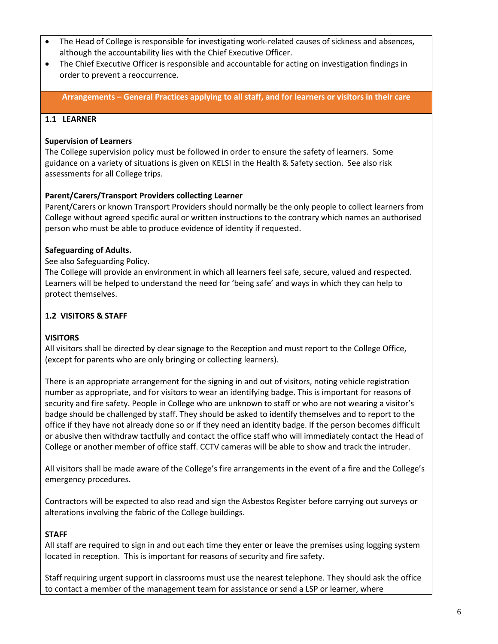- The Head of College is responsible for investigating work-related causes of sickness and absences, although the accountability lies with the Chief Executive Officer.
- The Chief Executive Officer is responsible and accountable for acting on investigation findings in order to prevent a reoccurrence.

**Arrangements – General Practices applying to all staff, and for learners or visitors in their care**

#### **1.1 LEARNER**

#### **Supervision of Learners**

The College supervision policy must be followed in order to ensure the safety of learners. Some guidance on a variety of situations is given on KELSI in the Health & Safety section. See also risk assessments for all College trips.

#### **Parent/Carers/Transport Providers collecting Learner**

Parent/Carers or known Transport Providers should normally be the only people to collect learners from College without agreed specific aural or written instructions to the contrary which names an authorised person who must be able to produce evidence of identity if requested.

#### **Safeguarding of Adults.**

See also Safeguarding Policy.

The College will provide an environment in which all learners feel safe, secure, valued and respected. Learners will be helped to understand the need for 'being safe' and ways in which they can help to protect themselves.

#### **1.2 VISITORS & STAFF**

#### **VISITORS**

All visitors shall be directed by clear signage to the Reception and must report to the College Office, (except for parents who are only bringing or collecting learners).

There is an appropriate arrangement for the signing in and out of visitors, noting vehicle registration number as appropriate, and for visitors to wear an identifying badge. This is important for reasons of security and fire safety. People in College who are unknown to staff or who are not wearing a visitor's badge should be challenged by staff. They should be asked to identify themselves and to report to the office if they have not already done so or if they need an identity badge. If the person becomes difficult or abusive then withdraw tactfully and contact the office staff who will immediately contact the Head of College or another member of office staff. CCTV cameras will be able to show and track the intruder.

All visitors shall be made aware of the College's fire arrangements in the event of a fire and the College's emergency procedures.

Contractors will be expected to also read and sign the Asbestos Register before carrying out surveys or alterations involving the fabric of the College buildings.

#### **STAFF**

All staff are required to sign in and out each time they enter or leave the premises using logging system located in reception. This is important for reasons of security and fire safety.

Staff requiring urgent support in classrooms must use the nearest telephone. They should ask the office to contact a member of the management team for assistance or send a LSP or learner, where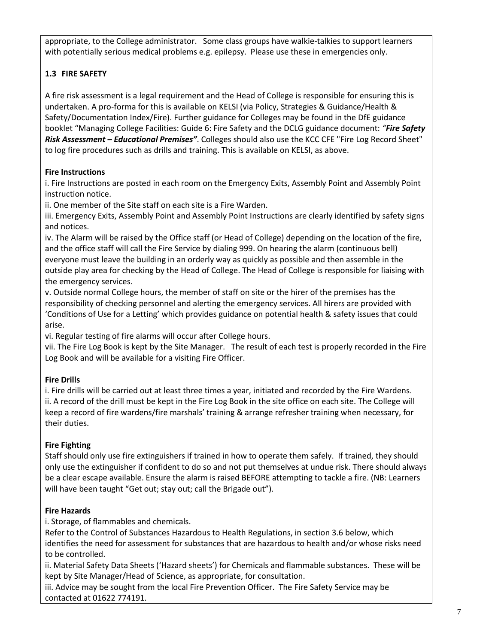appropriate, to the College administrator. Some class groups have walkie-talkies to support learners with potentially serious medical problems e.g. epilepsy. Please use these in emergencies only.

# **1.3 FIRE SAFETY**

A fire risk assessment is a legal requirement and the Head of College is responsible for ensuring this is undertaken. A pro-forma for this is available on KELSI (via Policy, Strategies & Guidance/Health & Safety/Documentation Index/Fire). Further guidance for Colleges may be found in the DfE guidance booklet "Managing College Facilities: Guide 6: Fire Safety and the DCLG guidance document: *"Fire Safety Risk Assessment – Educational Premises"*. Colleges should also use the KCC CFE "Fire Log Record Sheet" to log fire procedures such as drills and training. This is available on KELSI, as above.

# **Fire Instructions**

i. Fire Instructions are posted in each room on the Emergency Exits, Assembly Point and Assembly Point instruction notice.

ii. One member of the Site staff on each site is a Fire Warden.

iii. Emergency Exits, Assembly Point and Assembly Point Instructions are clearly identified by safety signs and notices.

iv. The Alarm will be raised by the Office staff (or Head of College) depending on the location of the fire, and the office staff will call the Fire Service by dialing 999. On hearing the alarm (continuous bell) everyone must leave the building in an orderly way as quickly as possible and then assemble in the outside play area for checking by the Head of College. The Head of College is responsible for liaising with the emergency services.

v. Outside normal College hours, the member of staff on site or the hirer of the premises has the responsibility of checking personnel and alerting the emergency services. All hirers are provided with 'Conditions of Use for a Letting' which provides guidance on potential health & safety issues that could arise.

vi. Regular testing of fire alarms will occur after College hours.

vii. The Fire Log Book is kept by the Site Manager. The result of each test is properly recorded in the Fire Log Book and will be available for a visiting Fire Officer.

# **Fire Drills**

i. Fire drills will be carried out at least three times a year, initiated and recorded by the Fire Wardens. ii. A record of the drill must be kept in the Fire Log Book in the site office on each site. The College will keep a record of fire wardens/fire marshals' training & arrange refresher training when necessary, for their duties.

# **Fire Fighting**

Staff should only use fire extinguishers if trained in how to operate them safely. If trained, they should only use the extinguisher if confident to do so and not put themselves at undue risk. There should always be a clear escape available. Ensure the alarm is raised BEFORE attempting to tackle a fire. (NB: Learners will have been taught "Get out; stay out; call the Brigade out").

# **Fire Hazards**

i. Storage, of flammables and chemicals.

Refer to the Control of Substances Hazardous to Health Regulations, in section 3.6 below, which identifies the need for assessment for substances that are hazardous to health and/or whose risks need to be controlled.

ii. Material Safety Data Sheets ('Hazard sheets') for Chemicals and flammable substances. These will be kept by Site Manager/Head of Science, as appropriate, for consultation.

iii. Advice may be sought from the local Fire Prevention Officer. The Fire Safety Service may be contacted at 01622 774191.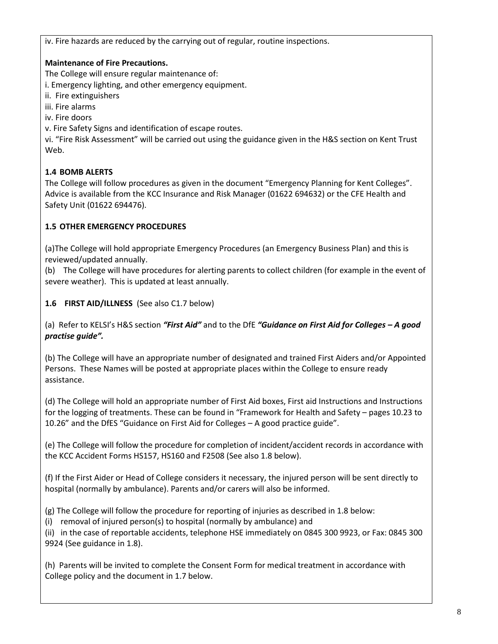iv. Fire hazards are reduced by the carrying out of regular, routine inspections.

## **Maintenance of Fire Precautions.**

The College will ensure regular maintenance of:

i. Emergency lighting, and other emergency equipment.

ii. Fire extinguishers

iii. Fire alarms

iv. Fire doors

v. Fire Safety Signs and identification of escape routes.

vi. "Fire Risk Assessment" will be carried out using the guidance given in the H&S section on Kent Trust Web.

## **1.4 BOMB ALERTS**

The College will follow procedures as given in the document "Emergency Planning for Kent Colleges". Advice is available from the KCC Insurance and Risk Manager (01622 694632) or the CFE Health and Safety Unit (01622 694476).

## **1.5 OTHER EMERGENCY PROCEDURES**

(a)The College will hold appropriate Emergency Procedures (an Emergency Business Plan) and this is reviewed/updated annually.

(b) The College will have procedures for alerting parents to collect children (for example in the event of severe weather). This is updated at least annually.

**1.6 FIRST AID/ILLNESS** (See also C1.7 below)

(a) Refer to KELSI's H&S section *"First Aid"* and to the DfE *"Guidance on First Aid for Colleges – A good practise guide".*

(b) The College will have an appropriate number of designated and trained First Aiders and/or Appointed Persons. These Names will be posted at appropriate places within the College to ensure ready assistance.

(d) The College will hold an appropriate number of First Aid boxes, First aid Instructions and Instructions for the logging of treatments. These can be found in "Framework for Health and Safety – pages 10.23 to 10.26" and the DfES "Guidance on First Aid for Colleges – A good practice guide".

(e) The College will follow the procedure for completion of incident/accident records in accordance with the KCC Accident Forms HS157, HS160 and F2508 (See also 1.8 below).

(f) If the First Aider or Head of College considers it necessary, the injured person will be sent directly to hospital (normally by ambulance). Parents and/or carers will also be informed.

(g) The College will follow the procedure for reporting of injuries as described in 1.8 below:

(i) removal of injured person(s) to hospital (normally by ambulance) and

(ii) in the case of reportable accidents, telephone HSE immediately on 0845 300 9923, or Fax: 0845 300 9924 (See guidance in 1.8).

(h) Parents will be invited to complete the Consent Form for medical treatment in accordance with College policy and the document in 1.7 below.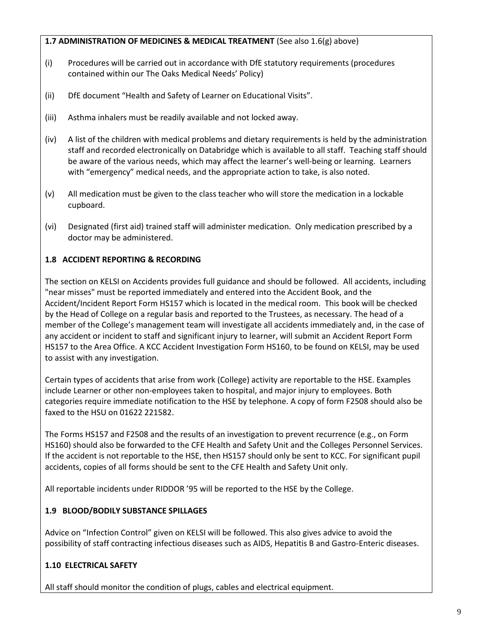## **1.7 ADMINISTRATION OF MEDICINES & MEDICAL TREATMENT** (See also 1.6(g) above)

- (i) Procedures will be carried out in accordance with DfE statutory requirements (procedures contained within our The Oaks Medical Needs' Policy)
- (ii) DfE document "Health and Safety of Learner on Educational Visits".
- (iii) Asthma inhalers must be readily available and not locked away.
- (iv) A list of the children with medical problems and dietary requirements is held by the administration staff and recorded electronically on Databridge which is available to all staff. Teaching staff should be aware of the various needs, which may affect the learner's well-being or learning. Learners with "emergency" medical needs, and the appropriate action to take, is also noted.
- (v) All medication must be given to the class teacher who will store the medication in a lockable cupboard.
- (vi) Designated (first aid) trained staff will administer medication. Only medication prescribed by a doctor may be administered.

# **1.8 ACCIDENT REPORTING & RECORDING**

The section on KELSI on Accidents provides full guidance and should be followed. All accidents, including "near misses" must be reported immediately and entered into the Accident Book, and the Accident/Incident Report Form HS157 which is located in the medical room. This book will be checked by the Head of College on a regular basis and reported to the Trustees, as necessary. The head of a member of the College's management team will investigate all accidents immediately and, in the case of any accident or incident to staff and significant injury to learner, will submit an Accident Report Form HS157 to the Area Office. A KCC Accident Investigation Form HS160, to be found on KELSI, may be used to assist with any investigation.

Certain types of accidents that arise from work (College) activity are reportable to the HSE. Examples include Learner or other non-employees taken to hospital, and major injury to employees. Both categories require immediate notification to the HSE by telephone. A copy of form F2508 should also be faxed to the HSU on 01622 221582.

The Forms HS157 and F2508 and the results of an investigation to prevent recurrence (e.g., on Form HS160) should also be forwarded to the CFE Health and Safety Unit and the Colleges Personnel Services. If the accident is not reportable to the HSE, then HS157 should only be sent to KCC. For significant pupil accidents, copies of all forms should be sent to the CFE Health and Safety Unit only.

All reportable incidents under RIDDOR '95 will be reported to the HSE by the College.

# **1.9 BLOOD/BODILY SUBSTANCE SPILLAGES**

Advice on "Infection Control" given on KELSI will be followed. This also gives advice to avoid the possibility of staff contracting infectious diseases such as AIDS, Hepatitis B and Gastro-Enteric diseases.

# **1.10 ELECTRICAL SAFETY**

All staff should monitor the condition of plugs, cables and electrical equipment.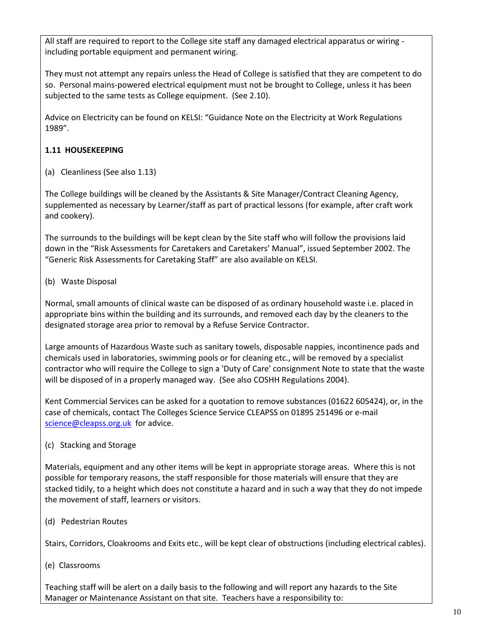All staff are required to report to the College site staff any damaged electrical apparatus or wiring including portable equipment and permanent wiring.

They must not attempt any repairs unless the Head of College is satisfied that they are competent to do so. Personal mains-powered electrical equipment must not be brought to College, unless it has been subjected to the same tests as College equipment. (See 2.10).

Advice on Electricity can be found on KELSI: "Guidance Note on the Electricity at Work Regulations 1989".

## **1.11 HOUSEKEEPING**

(a) Cleanliness (See also 1.13)

The College buildings will be cleaned by the Assistants & Site Manager/Contract Cleaning Agency, supplemented as necessary by Learner/staff as part of practical lessons (for example, after craft work and cookery).

The surrounds to the buildings will be kept clean by the Site staff who will follow the provisions laid down in the "Risk Assessments for Caretakers and Caretakers' Manual", issued September 2002. The "Generic Risk Assessments for Caretaking Staff" are also available on KELSI.

## (b) Waste Disposal

Normal, small amounts of clinical waste can be disposed of as ordinary household waste i.e. placed in appropriate bins within the building and its surrounds, and removed each day by the cleaners to the designated storage area prior to removal by a Refuse Service Contractor.

Large amounts of Hazardous Waste such as sanitary towels, disposable nappies, incontinence pads and chemicals used in laboratories, swimming pools or for cleaning etc., will be removed by a specialist contractor who will require the College to sign a 'Duty of Care' consignment Note to state that the waste will be disposed of in a properly managed way. (See also COSHH Regulations 2004).

Kent Commercial Services can be asked for a quotation to remove substances (01622 605424), or, in the case of chemicals, contact The Colleges Science Service CLEAPSS on 01895 251496 or e-mail [science@cleapss.org.uk](mailto:science@cleapss.org.uk) for advice.

## (c) Stacking and Storage

Materials, equipment and any other items will be kept in appropriate storage areas. Where this is not possible for temporary reasons, the staff responsible for those materials will ensure that they are stacked tidily, to a height which does not constitute a hazard and in such a way that they do not impede the movement of staff, learners or visitors.

(d) Pedestrian Routes

Stairs, Corridors, Cloakrooms and Exits etc., will be kept clear of obstructions (including electrical cables).

(e) Classrooms

Teaching staff will be alert on a daily basis to the following and will report any hazards to the Site Manager or Maintenance Assistant on that site. Teachers have a responsibility to: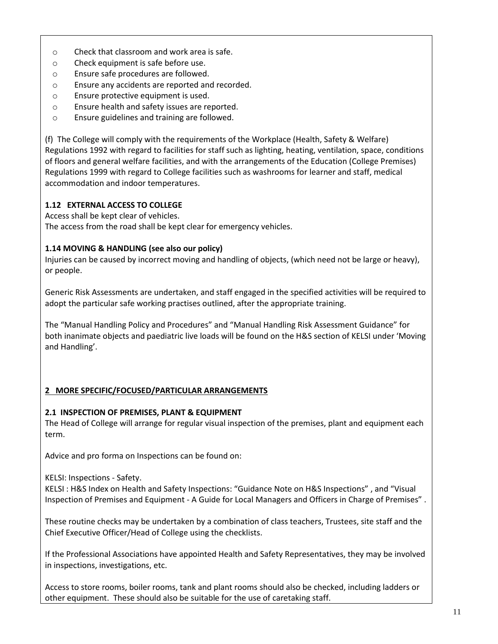- o Check that classroom and work area is safe.
- o Check equipment is safe before use.
- o Ensure safe procedures are followed.
- o Ensure any accidents are reported and recorded.
- o Ensure protective equipment is used.
- o Ensure health and safety issues are reported.
- o Ensure guidelines and training are followed.

(f) The College will comply with the requirements of the Workplace (Health, Safety & Welfare) Regulations 1992 with regard to facilities for staff such as lighting, heating, ventilation, space, conditions of floors and general welfare facilities, and with the arrangements of the Education (College Premises) Regulations 1999 with regard to College facilities such as washrooms for learner and staff, medical accommodation and indoor temperatures.

#### **1.12 EXTERNAL ACCESS TO COLLEGE**

Access shall be kept clear of vehicles.

The access from the road shall be kept clear for emergency vehicles.

#### **1.14 MOVING & HANDLING (see also our policy)**

Injuries can be caused by incorrect moving and handling of objects, (which need not be large or heavy), or people.

Generic Risk Assessments are undertaken, and staff engaged in the specified activities will be required to adopt the particular safe working practises outlined, after the appropriate training.

The "Manual Handling Policy and Procedures" and "Manual Handling Risk Assessment Guidance" for both inanimate objects and paediatric live loads will be found on the H&S section of KELSI under 'Moving and Handling'.

## **2 MORE SPECIFIC/FOCUSED/PARTICULAR ARRANGEMENTS**

#### **2.1 INSPECTION OF PREMISES, PLANT & EQUIPMENT**

The Head of College will arrange for regular visual inspection of the premises, plant and equipment each term.

Advice and pro forma on Inspections can be found on:

#### KELSI: Inspections - Safety.

KELSI : H&S Index on Health and Safety Inspections: "Guidance Note on H&S Inspections" , and "Visual Inspection of Premises and Equipment - A Guide for Local Managers and Officers in Charge of Premises" .

These routine checks may be undertaken by a combination of class teachers, Trustees, site staff and the Chief Executive Officer/Head of College using the checklists.

If the Professional Associations have appointed Health and Safety Representatives, they may be involved in inspections, investigations, etc.

Access to store rooms, boiler rooms, tank and plant rooms should also be checked, including ladders or other equipment. These should also be suitable for the use of caretaking staff.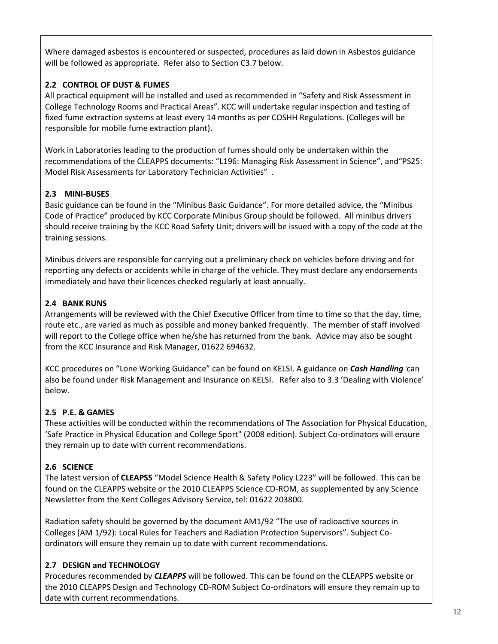Where damaged asbestos is encountered or suspected, procedures as laid down in Asbestos guidance will be followed as appropriate. Refer also to Section C3.7 below.

# **2.2 CONTROL OF DUST & FUMES**

All practical equipment will be installed and used as recommended in "Safety and Risk Assessment in College Technology Rooms and Practical Areas". KCC will undertake regular inspection and testing of fixed fume extraction systems at least every 14 months as per COSHH Regulations. (Colleges will be responsible for mobile fume extraction plant).

Work in Laboratories leading to the production of fumes should only be undertaken within the recommendations of the CLEAPPS documents: "L196: Managing Risk Assessment in Science", and"PS25: Model Risk Assessments for Laboratory Technician Activities" .

# **2.3 MINI-BUSES**

Basic guidance can be found in the "Minibus Basic Guidance". For more detailed advice, the "Minibus Code of Practice" produced by KCC Corporate Minibus Group should be followed. All minibus drivers should receive training by the KCC Road Safety Unit; drivers will be issued with a copy of the code at the training sessions.

Minibus drivers are responsible for carrying out a preliminary check on vehicles before driving and for reporting any defects or accidents while in charge of the vehicle. They must declare any endorsements immediately and have their licences checked regularly at least annually.

# **2.4 BANK RUNS**

Arrangements will be reviewed with the Chief Executive Officer from time to time so that the day, time, route etc., are varied as much as possible and money banked frequently. The member of staff involved will report to the College office when he/she has returned from the bank. Advice may also be sought from the KCC Insurance and Risk Manager, 01622 694632.

KCC procedures on "Lone Working Guidance" can be found on KELSI. A guidance on *Cash Handling* <sup>i</sup> can also be found under Risk Management and Insurance on KELSI. Refer also to 3.3 'Dealing with Violence' below.

# **2.5 P.E. & GAMES**

These activities will be conducted within the recommendations of The Association for Physical Education, 'Safe Practice in Physical Education and College Sport" (2008 edition). Subject Co-ordinators will ensure they remain up to date with current recommendations.

# **2.6 SCIENCE**

The latest version of **CLEAPSS** "Model Science Health & Safety Policy L223" will be followed. This can be found on the CLEAPPS website or the 2010 CLEAPPS Science CD-ROM, as supplemented by any Science Newsletter from the Kent Colleges Advisory Service, tel: 01622 203800.

Radiation safety should be governed by the document AM1/92 "The use of radioactive sources in Colleges (AM 1/92): Local Rules for Teachers and Radiation Protection Supervisors". Subject Coordinators will ensure they remain up to date with current recommendations.

# **2.7 DESIGN and TECHNOLOGY**

Procedures recommended by *CLEAPPS* will be followed. This can be found on the CLEAPPS website or the 2010 CLEAPPS Design and Technology CD-ROM Subject Co-ordinators will ensure they remain up to date with current recommendations.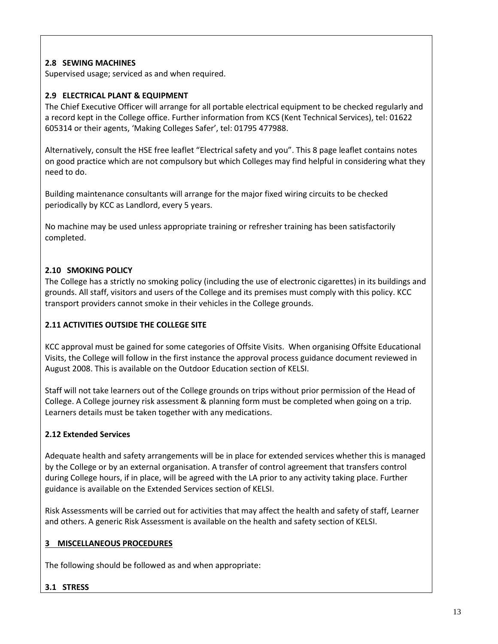## **2.8 SEWING MACHINES**

Supervised usage; serviced as and when required.

#### **2.9 ELECTRICAL PLANT & EQUIPMENT**

The Chief Executive Officer will arrange for all portable electrical equipment to be checked regularly and a record kept in the College office. Further information from KCS (Kent Technical Services), tel: 01622 605314 or their agents, 'Making Colleges Safer', tel: 01795 477988.

Alternatively, consult the HSE free leaflet "Electrical safety and you". This 8 page leaflet contains notes on good practice which are not compulsory but which Colleges may find helpful in considering what they need to do.

Building maintenance consultants will arrange for the major fixed wiring circuits to be checked periodically by KCC as Landlord, every 5 years.

No machine may be used unless appropriate training or refresher training has been satisfactorily completed.

## **2.10 SMOKING POLICY**

The College has a strictly no smoking policy (including the use of electronic cigarettes) in its buildings and grounds. All staff, visitors and users of the College and its premises must comply with this policy. KCC transport providers cannot smoke in their vehicles in the College grounds.

## **2.11 ACTIVITIES OUTSIDE THE COLLEGE SITE**

KCC approval must be gained for some categories of Offsite Visits. When organising Offsite Educational Visits, the College will follow in the first instance the approval process guidance document reviewed in August 2008. This is available on the Outdoor Education section of KELSI.

Staff will not take learners out of the College grounds on trips without prior permission of the Head of College. A College journey risk assessment & planning form must be completed when going on a trip. Learners details must be taken together with any medications.

## **2.12 Extended Services**

Adequate health and safety arrangements will be in place for extended services whether this is managed by the College or by an external organisation. A transfer of control agreement that transfers control during College hours, if in place, will be agreed with the LA prior to any activity taking place. Further guidance is available on the Extended Services section of KELSI.

Risk Assessments will be carried out for activities that may affect the health and safety of staff, Learner and others. A generic Risk Assessment is available on the health and safety section of KELSI.

#### **3 MISCELLANEOUS PROCEDURES**

The following should be followed as and when appropriate:

#### **3.1 STRESS**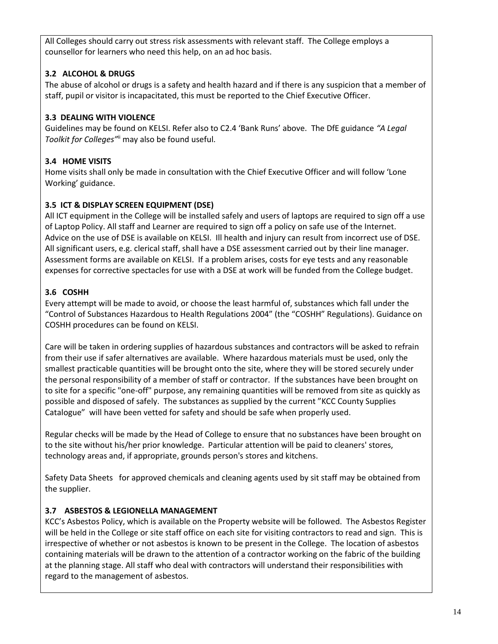All Colleges should carry out stress risk assessments with relevant staff. The College employs a counsellor for learners who need this help, on an ad hoc basis.

# **3.2 ALCOHOL & DRUGS**

The abuse of alcohol or drugs is a safety and health hazard and if there is any suspicion that a member of staff, pupil or visitor is incapacitated, this must be reported to the Chief Executive Officer.

# **3.3 DEALING WITH VIOLENCE**

Guidelines may be found on KELSI. Refer also to C2.4 'Bank Runs' above. The DfE guidance *"A Legal Toolkit for Colleges"*ii may also be found useful.

# **3.4 HOME VISITS**

Home visits shall only be made in consultation with the Chief Executive Officer and will follow 'Lone Working' guidance.

# **3.5 ICT & DISPLAY SCREEN EQUIPMENT (DSE)**

All ICT equipment in the College will be installed safely and users of laptops are required to sign off a use of Laptop Policy. All staff and Learner are required to sign off a policy on safe use of the Internet. Advice on the use of DSE is available on KELSI. Ill health and injury can result from incorrect use of DSE. All significant users, e.g. clerical staff, shall have a DSE assessment carried out by their line manager. Assessment forms are available on KELSI. If a problem arises, costs for eye tests and any reasonable expenses for corrective spectacles for use with a DSE at work will be funded from the College budget.

# **3.6 COSHH**

Every attempt will be made to avoid, or choose the least harmful of, substances which fall under the "Control of Substances Hazardous to Health Regulations 2004" (the "COSHH" Regulations). Guidance on COSHH procedures can be found on KELSI.

Care will be taken in ordering supplies of hazardous substances and contractors will be asked to refrain from their use if safer alternatives are available. Where hazardous materials must be used, only the smallest practicable quantities will be brought onto the site, where they will be stored securely under the personal responsibility of a member of staff or contractor. If the substances have been brought on to site for a specific "one-off" purpose, any remaining quantities will be removed from site as quickly as possible and disposed of safely. The substances as supplied by the current "KCC County Supplies Catalogue" will have been vetted for safety and should be safe when properly used.

Regular checks will be made by the Head of College to ensure that no substances have been brought on to the site without his/her prior knowledge. Particular attention will be paid to cleaners' stores, technology areas and, if appropriate, grounds person's stores and kitchens.

Safety Data Sheets for approved chemicals and cleaning agents used by sit staff may be obtained from the supplier.

# **3.7 ASBESTOS & LEGIONELLA MANAGEMENT**

KCC's Asbestos Policy, which is available on the Property website will be followed. The Asbestos Register will be held in the College or site staff office on each site for visiting contractors to read and sign. This is irrespective of whether or not asbestos is known to be present in the College. The location of asbestos containing materials will be drawn to the attention of a contractor working on the fabric of the building at the planning stage. All staff who deal with contractors will understand their responsibilities with regard to the management of asbestos.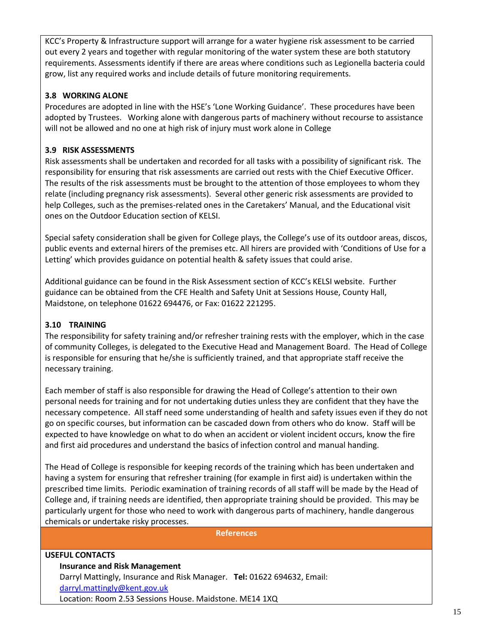KCC's Property & Infrastructure support will arrange for a water hygiene risk assessment to be carried out every 2 years and together with regular monitoring of the water system these are both statutory requirements. Assessments identify if there are areas where conditions such as Legionella bacteria could grow, list any required works and include details of future monitoring requirements.

## **3.8 WORKING ALONE**

Procedures are adopted in line with the HSE's 'Lone Working Guidance'. These procedures have been adopted by Trustees. Working alone with dangerous parts of machinery without recourse to assistance will not be allowed and no one at high risk of injury must work alone in College

## **3.9 RISK ASSESSMENTS**

Risk assessments shall be undertaken and recorded for all tasks with a possibility of significant risk. The responsibility for ensuring that risk assessments are carried out rests with the Chief Executive Officer. The results of the risk assessments must be brought to the attention of those employees to whom they relate (including pregnancy risk assessments). Several other generic risk assessments are provided to help Colleges, such as the premises-related ones in the Caretakers' Manual, and the Educational visit ones on the Outdoor Education section of KELSI.

Special safety consideration shall be given for College plays, the College's use of its outdoor areas, discos, public events and external hirers of the premises etc. All hirers are provided with 'Conditions of Use for a Letting' which provides guidance on potential health & safety issues that could arise.

Additional guidance can be found in the Risk Assessment section of KCC's KELSI website. Further guidance can be obtained from the CFE Health and Safety Unit at Sessions House, County Hall, Maidstone, on telephone 01622 694476, or Fax: 01622 221295.

## **3.10 TRAINING**

The responsibility for safety training and/or refresher training rests with the employer, which in the case of community Colleges, is delegated to the Executive Head and Management Board. The Head of College is responsible for ensuring that he/she is sufficiently trained, and that appropriate staff receive the necessary training.

Each member of staff is also responsible for drawing the Head of College's attention to their own personal needs for training and for not undertaking duties unless they are confident that they have the necessary competence. All staff need some understanding of health and safety issues even if they do not go on specific courses, but information can be cascaded down from others who do know. Staff will be expected to have knowledge on what to do when an accident or violent incident occurs, know the fire and first aid procedures and understand the basics of infection control and manual handing.

The Head of College is responsible for keeping records of the training which has been undertaken and having a system for ensuring that refresher training (for example in first aid) is undertaken within the prescribed time limits. Periodic examination of training records of all staff will be made by the Head of College and, if training needs are identified, then appropriate training should be provided. This may be particularly urgent for those who need to work with dangerous parts of machinery, handle dangerous chemicals or undertake risky processes.

**References**

## **USEFUL CONTACTS Insurance and Risk Management** Darryl Mattingly, Insurance and Risk Manager. **Tel:** 01622 694632, Email: [darryl.mattingly@kent.gov.uk](mailto:darryl.mattingly@kent.gov.uk) Location: Room 2.53 Sessions House. Maidstone. ME14 1XQ